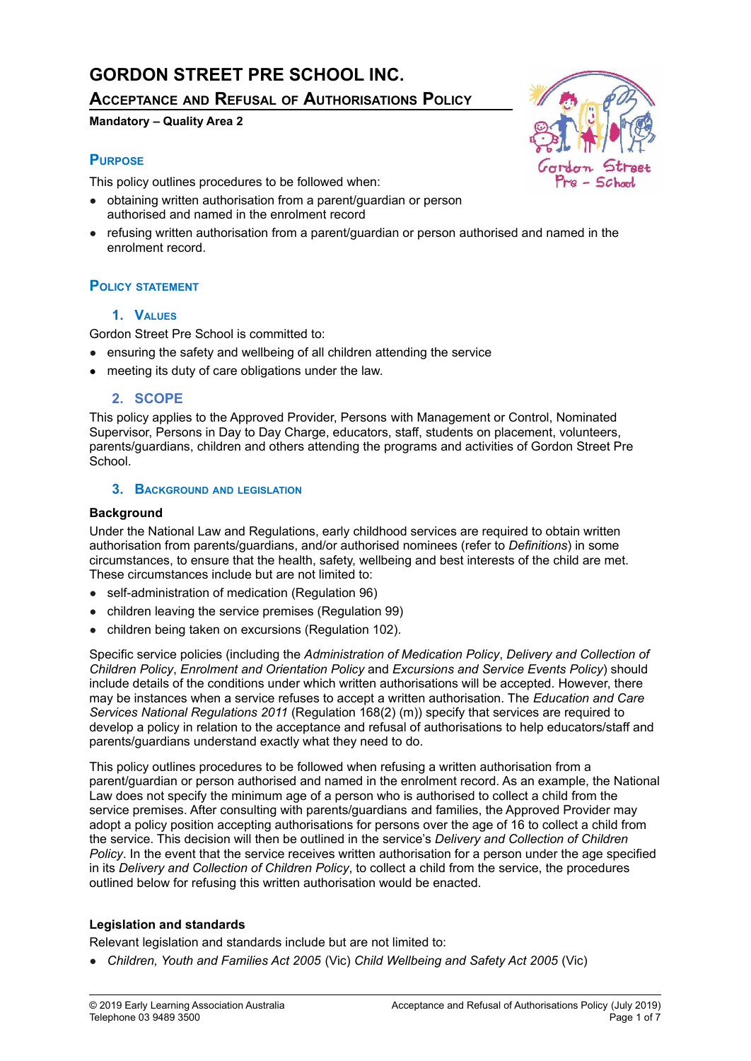# **GORDON STREET PRE SCHOOL INC.**

# **ACCEPTANCE AND REFUSAL OF AUTHORISATIONS POLICY**

### **Mandatory – Quality Area 2**

# **PURPOSE**

This policy outlines procedures to be followed when:

- obtaining written authorisation from a parent/guardian or person authorised and named in the enrolment record
- refusing written authorisation from a parent/quardian or person authorised and named in the enrolment record.

# **POLICY STATEMENT**

## **1. VALUES**

Gordon Street Pre School is committed to:

- ensuring the safety and wellbeing of all children attending the service
- meeting its duty of care obligations under the law.

## **2. SCOPE**

This policy applies to the Approved Provider, Persons with Management or Control, Nominated Supervisor, Persons in Day to Day Charge, educators, staff, students on placement, volunteers, parents/guardians, children and others attending the programs and activities of Gordon Street Pre School.

## **3. BACKGROUND AND LEGISLATION**

### **Background**

Under the National Law and Regulations, early childhood services are required to obtain written authorisation from parents/guardians, and/or authorised nominees (refer to *Definitions*) in some circumstances, to ensure that the health, safety, wellbeing and best interests of the child are met. These circumstances include but are not limited to:

- self-administration of medication (Regulation 96)
- children leaving the service premises (Regulation 99)
- children being taken on excursions (Regulation 102).

Specific service policies (including the *Administration of Medication Policy*, *Delivery and Collection of Children Policy*, *Enrolment and Orientation Policy* and *Excursions and Service Events Policy*) should include details of the conditions under which written authorisations will be accepted. However, there may be instances when a service refuses to accept a written authorisation. The *Education and Care Services National Regulations 2011* (Regulation 168(2) (m)) specify that services are required to develop a policy in relation to the acceptance and refusal of authorisations to help educators/staff and parents/guardians understand exactly what they need to do.

This policy outlines procedures to be followed when refusing a written authorisation from a parent/guardian or person authorised and named in the enrolment record. As an example, the National Law does not specify the minimum age of a person who is authorised to collect a child from the service premises. After consulting with parents/guardians and families, the Approved Provider may adopt a policy position accepting authorisations for persons over the age of 16 to collect a child from the service. This decision will then be outlined in the service's *Delivery and Collection of Children Policy*. In the event that the service receives written authorisation for a person under the age specified in its *Delivery and Collection of Children Policy*, to collect a child from the service, the procedures outlined below for refusing this written authorisation would be enacted.

## **Legislation and standards**

Relevant legislation and standards include but are not limited to:

● *Children, Youth and Families Act 2005* (Vic) *Child Wellbeing and Safety Act 2005* (Vic)

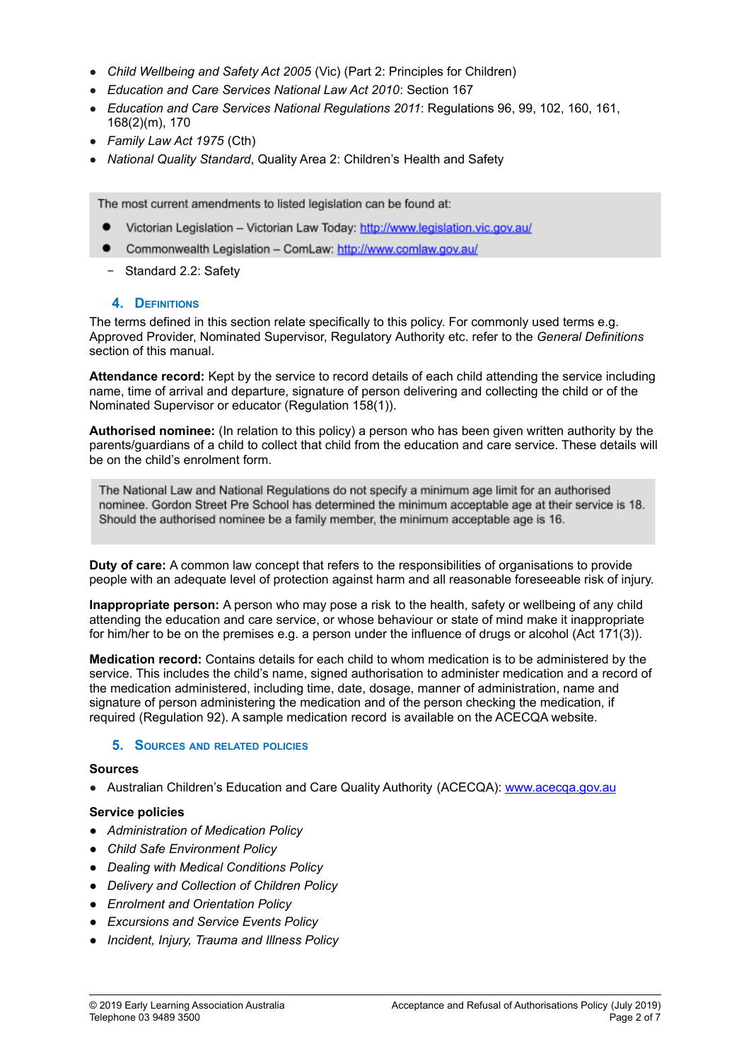- *Child Wellbeing and Safety Act 2005* (Vic) (Part 2: Principles for Children)
- *Education and Care Services National Law Act 2010*: Section 167
- *Education and Care Services National Regulations 2011*: Regulations 96, 99, 102, 160, 161, 168(2)(m), 170
- *Family Law Act 1975* (Cth)
- *National Quality Standard*, Quality Area 2: Children's Health and Safety

The most current amendments to listed legislation can be found at:

- Victorian Legislation Victorian Law Today: http://www.legislation.vic.gov.au/
- $\bullet$ Commonwealth Legislation - ComLaw: http://www.comlaw.gov.au/
- − Standard 2.2: Safety

#### **4. DEFINITIONS**

The terms defined in this section relate specifically to this policy. For commonly used terms e.g. Approved Provider, Nominated Supervisor, Regulatory Authority etc. refer to the *General Definitions* section of this manual.

**Attendance record:** Kept by the service to record details of each child attending the service including name, time of arrival and departure, signature of person delivering and collecting the child or of the Nominated Supervisor or educator (Regulation 158(1)).

**Authorised nominee:** (In relation to this policy) a person who has been given written authority by the parents/guardians of a child to collect that child from the education and care service. These details will be on the child's enrolment form.

The National Law and National Regulations do not specify a minimum age limit for an authorised nominee. Gordon Street Pre School has determined the minimum acceptable age at their service is 18. Should the authorised nominee be a family member, the minimum acceptable age is 16.

**Duty of care:** A common law concept that refers to the responsibilities of organisations to provide people with an adequate level of protection against harm and all reasonable foreseeable risk of injury.

**Inappropriate person:** A person who may pose a risk to the health, safety or wellbeing of any child attending the education and care service, or whose behaviour or state of mind make it inappropriate for him/her to be on the premises e.g. a person under the influence of drugs or alcohol (Act 171(3)).

**Medication record:** Contains details for each child to whom medication is to be administered by the service. This includes the child's name, signed authorisation to administer medication and a record of the medication administered, including time, date, dosage, manner of administration, name and signature of person administering the medication and of the person checking the medication, if required (Regulation 92). A sample medication record is available on the ACECQA website.

#### **5. SOURCES AND RELATED POLICIES**

#### **Sources**

• Australian Children's Education and Care Quality Authority (ACECQA): [www.acecqa.gov.au](http://www.acecqa.gov.au)

#### **Service policies**

- *● Administration of Medication Policy*
- *● Child Safe Environment Policy*
- *● Dealing with Medical Conditions Policy*
- *● Delivery and Collection of Children Policy*
- *● Enrolment and Orientation Policy*
- *● Excursions and Service Events Policy*
- *● Incident, Injury, Trauma and Illness Policy*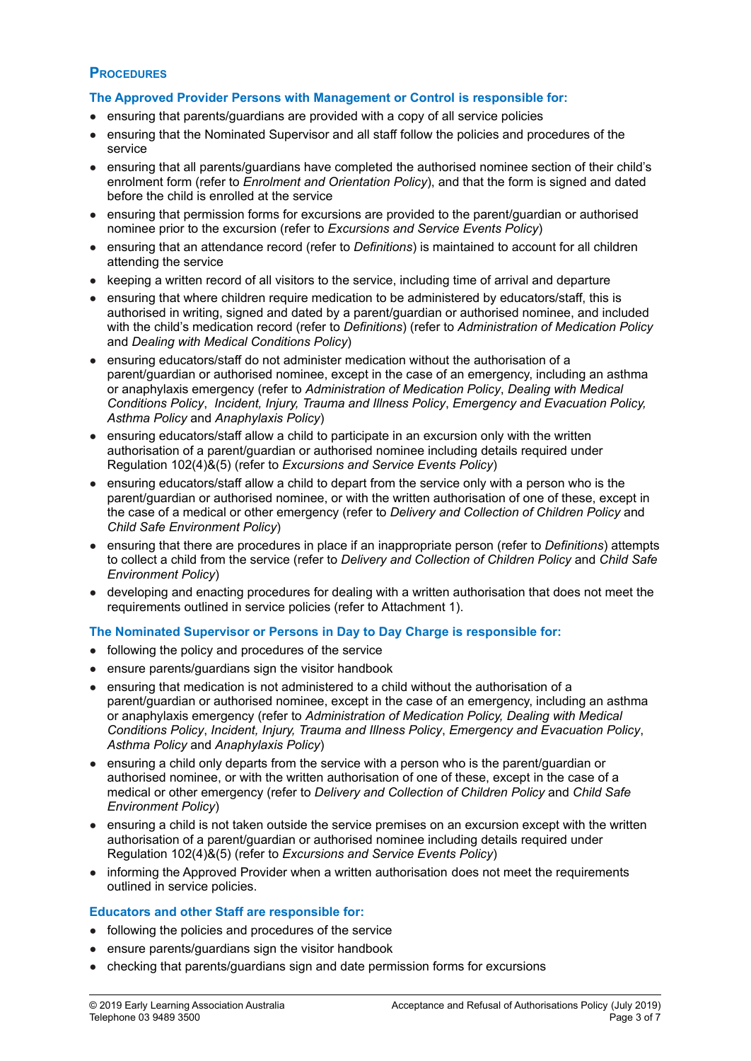#### **PROCEDURES**

#### **The Approved Provider Persons with Management or Control is responsible for:**

- ensuring that parents/guardians are provided with a copy of all service policies
- ensuring that the Nominated Supervisor and all staff follow the policies and procedures of the service
- ensuring that all parents/guardians have completed the authorised nominee section of their child's enrolment form (refer to *Enrolment and Orientation Policy*), and that the form is signed and dated before the child is enrolled at the service
- ensuring that permission forms for excursions are provided to the parent/guardian or authorised nominee prior to the excursion (refer to *Excursions and Service Events Policy*)
- ensuring that an attendance record (refer to *Definitions*) is maintained to account for all children attending the service
- keeping a written record of all visitors to the service, including time of arrival and departure
- ensuring that where children require medication to be administered by educators/staff, this is authorised in writing, signed and dated by a parent/guardian or authorised nominee, and included with the child's medication record (refer to *Definitions*) (refer to *Administration of Medication Policy* and *Dealing with Medical Conditions Policy*)
- ensuring educators/staff do not administer medication without the authorisation of a parent/guardian or authorised nominee, except in the case of an emergency, including an asthma or anaphylaxis emergency (refer to *Administration of Medication Policy*, *Dealing with Medical Conditions Policy*, *Incident, Injury, Trauma and Illness Policy*, *Emergency and Evacuation Policy, Asthma Policy* and *Anaphylaxis Policy*)
- ensuring educators/staff allow a child to participate in an excursion only with the written authorisation of a parent/guardian or authorised nominee including details required under Regulation 102(4)&(5) (refer to *Excursions and Service Events Policy*)
- ensuring educators/staff allow a child to depart from the service only with a person who is the parent/guardian or authorised nominee, or with the written authorisation of one of these, except in the case of a medical or other emergency (refer to *Delivery and Collection of Children Policy* and *Child Safe Environment Policy*)
- ensuring that there are procedures in place if an inappropriate person (refer to *Definitions*) attempts to collect a child from the service (refer to *Delivery and Collection of Children Policy* and *Child Safe Environment Policy*)
- developing and enacting procedures for dealing with a written authorisation that does not meet the requirements outlined in service policies (refer to Attachment 1).

#### **The Nominated Supervisor or Persons in Day to Day Charge is responsible for:**

- following the policy and procedures of the service
- ensure parents/guardians sign the visitor handbook
- ensuring that medication is not administered to a child without the authorisation of a parent/guardian or authorised nominee, except in the case of an emergency, including an asthma or anaphylaxis emergency (refer to *Administration of Medication Policy, Dealing with Medical Conditions Policy*, *Incident, Injury, Trauma and Illness Policy*, *Emergency and Evacuation Policy*, *Asthma Policy* and *Anaphylaxis Policy*)
- ensuring a child only departs from the service with a person who is the parent/guardian or authorised nominee, or with the written authorisation of one of these, except in the case of a medical or other emergency (refer to *Delivery and Collection of Children Policy* and *Child Safe Environment Policy*)
- ensuring a child is not taken outside the service premises on an excursion except with the written authorisation of a parent/guardian or authorised nominee including details required under Regulation 102(4)&(5) (refer to *Excursions and Service Events Policy*)
- informing the Approved Provider when a written authorisation does not meet the requirements outlined in service policies.

#### **Educators and other Staff are responsible for:**

- following the policies and procedures of the service
- ensure parents/guardians sign the visitor handbook
- checking that parents/guardians sign and date permission forms for excursions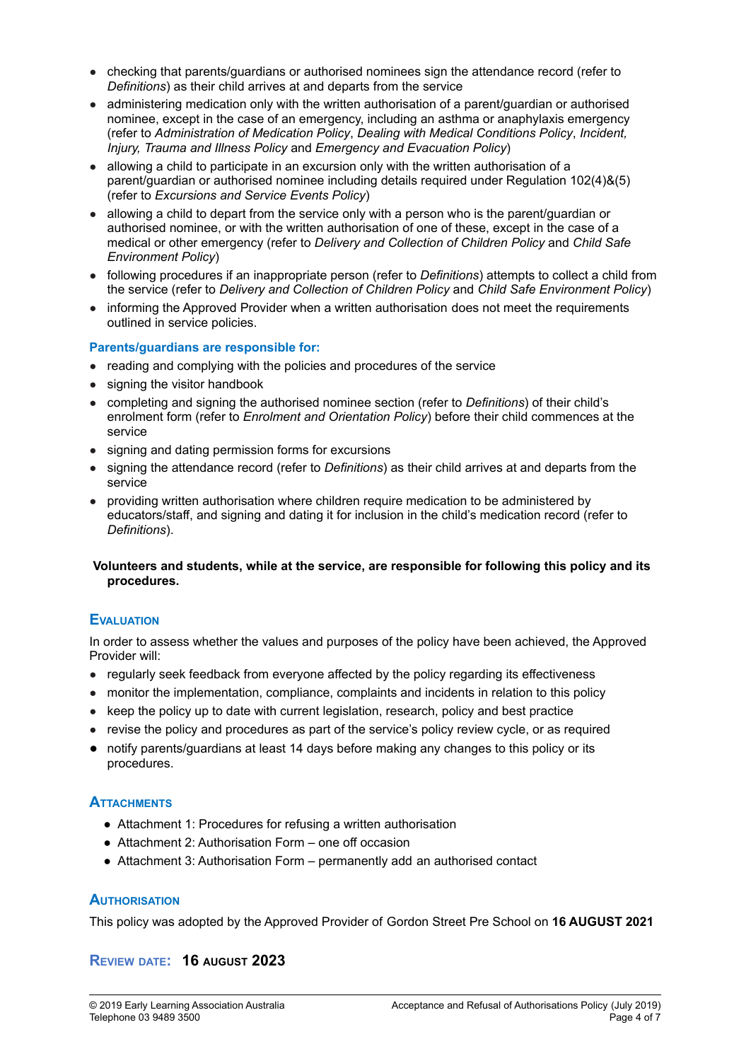- checking that parents/guardians or authorised nominees sign the attendance record (refer to *Definitions*) as their child arrives at and departs from the service
- administering medication only with the written authorisation of a parent/guardian or authorised nominee, except in the case of an emergency, including an asthma or anaphylaxis emergency (refer to *Administration of Medication Policy*, *Dealing with Medical Conditions Policy*, *Incident, Injury, Trauma and Illness Policy* and *Emergency and Evacuation Policy*)
- allowing a child to participate in an excursion only with the written authorisation of a parent/guardian or authorised nominee including details required under Regulation 102(4)&(5) (refer to *Excursions and Service Events Policy*)
- allowing a child to depart from the service only with a person who is the parent/guardian or authorised nominee, or with the written authorisation of one of these, except in the case of a medical or other emergency (refer to *Delivery and Collection of Children Policy* and *Child Safe Environment Policy*)
- following procedures if an inappropriate person (refer to *Definitions*) attempts to collect a child from the service (refer to *Delivery and Collection of Children Policy* and *Child Safe Environment Policy*)
- informing the Approved Provider when a written authorisation does not meet the requirements outlined in service policies.

#### **Parents/guardians are responsible for:**

- reading and complying with the policies and procedures of the service
- signing the visitor handbook
- completing and signing the authorised nominee section (refer to *Definitions*) of their child's enrolment form (refer to *Enrolment and Orientation Policy*) before their child commences at the service
- signing and dating permission forms for excursions
- signing the attendance record (refer to *Definitions*) as their child arrives at and departs from the service
- providing written authorisation where children require medication to be administered by educators/staff, and signing and dating it for inclusion in the child's medication record (refer to *Definitions*).

#### **Volunteers and students, while at the service, are responsible for following this policy and its procedures.**

#### **EVALUATION**

In order to assess whether the values and purposes of the policy have been achieved, the Approved Provider will:

- regularly seek feedback from everyone affected by the policy regarding its effectiveness
- monitor the implementation, compliance, complaints and incidents in relation to this policy
- keep the policy up to date with current legislation, research, policy and best practice
- revise the policy and procedures as part of the service's policy review cycle, or as required
- notify parents/guardians at least 14 days before making any changes to this policy or its procedures.

## **ATTACHMENTS**

- Attachment 1: Procedures for refusing a written authorisation
- Attachment 2: Authorisation Form one off occasion
- Attachment 3: Authorisation Form permanently add an authorised contact

#### **AUTHORISATION**

This policy was adopted by the Approved Provider of Gordon Street Pre School on **16 AUGUST 2021**

## **REVIEW DATE: 16 AUGUST 2023**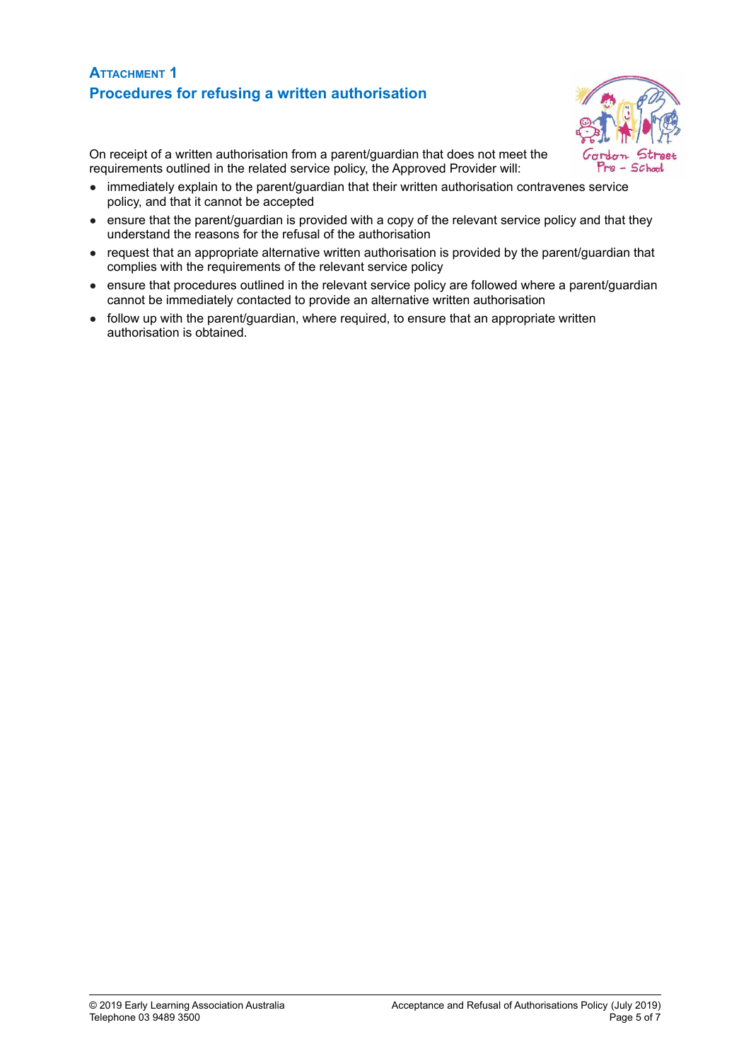# **ATTACHMENT 1 Procedures for refusing a written authorisation**



On receipt of a written authorisation from a parent/guardian that does not meet the requirements outlined in the related service policy, the Approved Provider will:

- immediately explain to the parent/guardian that their written authorisation contravenes service policy, and that it cannot be accepted
- ensure that the parent/guardian is provided with a copy of the relevant service policy and that they understand the reasons for the refusal of the authorisation
- request that an appropriate alternative written authorisation is provided by the parent/guardian that complies with the requirements of the relevant service policy
- ensure that procedures outlined in the relevant service policy are followed where a parent/guardian cannot be immediately contacted to provide an alternative written authorisation
- follow up with the parent/quardian, where required, to ensure that an appropriate written authorisation is obtained.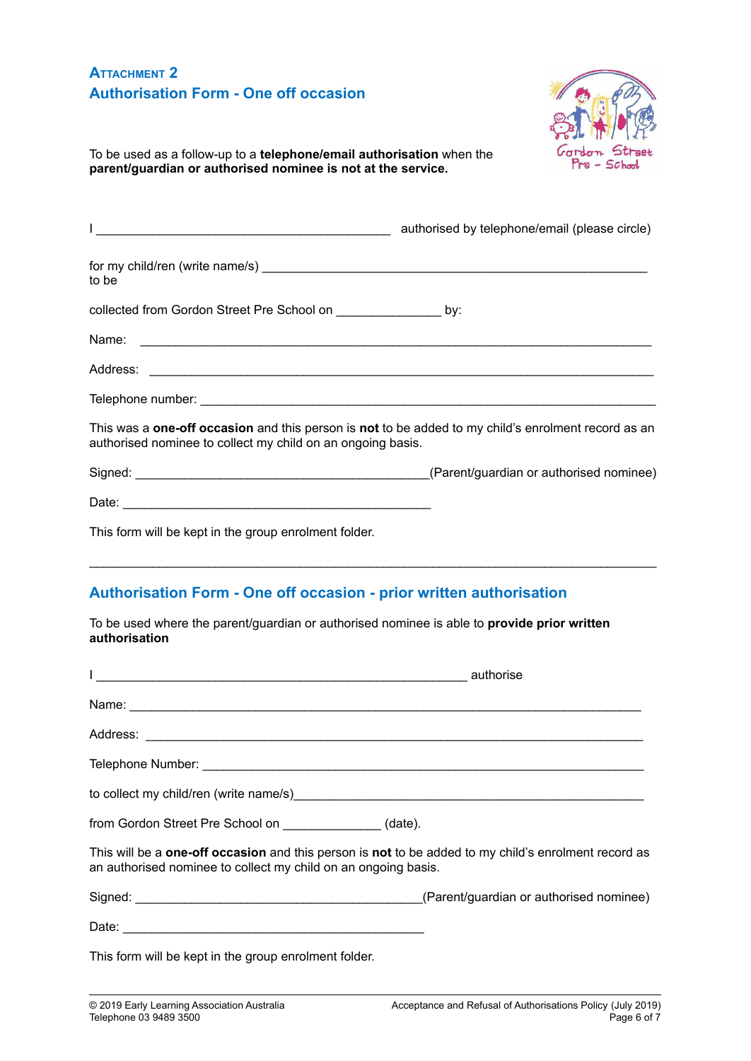# **ATTACHMENT 2 Authorisation Form - One off occasion**



To be used as a follow-up to a **telephone/email authorisation** when the **parent/guardian or authorised nominee is not at the service.**

| authorised by telephone/email (please circle)                                                                                                                          |  |
|------------------------------------------------------------------------------------------------------------------------------------------------------------------------|--|
| to be                                                                                                                                                                  |  |
| collected from Gordon Street Pre School on ___________________ by:                                                                                                     |  |
|                                                                                                                                                                        |  |
|                                                                                                                                                                        |  |
|                                                                                                                                                                        |  |
| This was a one-off occasion and this person is not to be added to my child's enrolment record as an<br>authorised nominee to collect my child on an ongoing basis.     |  |
|                                                                                                                                                                        |  |
|                                                                                                                                                                        |  |
| This form will be kept in the group enrolment folder.                                                                                                                  |  |
| <b>Authorisation Form - One off occasion - prior written authorisation</b>                                                                                             |  |
| To be used where the parent/guardian or authorised nominee is able to provide prior written<br>authorisation                                                           |  |
|                                                                                                                                                                        |  |
|                                                                                                                                                                        |  |
|                                                                                                                                                                        |  |
|                                                                                                                                                                        |  |
| to collect my child/ren (write name/s) example and collect my child/ren (write name/s)                                                                                 |  |
| from Gordon Street Pre School on ________________(date).                                                                                                               |  |
| This will be a one-off occasion and this person is not to be added to my child's enrolment record as<br>an authorised nominee to collect my child on an ongoing basis. |  |

Signed: \_\_\_\_\_\_\_\_\_\_\_\_\_\_\_\_\_\_\_\_\_\_\_\_\_\_\_\_\_\_\_\_\_\_\_\_\_\_\_\_\_(Parent/guardian or authorised nominee)

Date: \_\_\_\_\_\_\_\_\_\_\_\_\_\_\_\_\_\_\_\_\_\_\_\_\_\_\_\_\_\_\_\_\_\_\_\_\_\_\_\_\_\_\_

This form will be kept in the group enrolment folder.